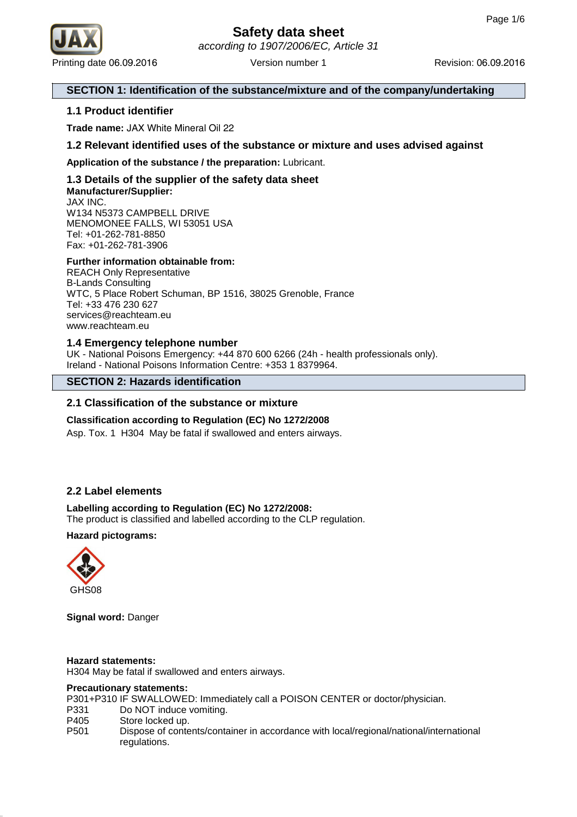

## **SECTION 1: Identification of the substance/mixture and of the company/undertaking**

## **1.1 Product identifier**

**Trade name:** JAX White Mineral Oil 22

**1.2 Relevant identified uses of the substance or mixture and uses advised against**

**Application of the substance / the preparation:** Lubricant.

## **1.3 Details of the supplier of the safety data sheet Manufacturer/Supplier:** JAX INC.

W134 N5373 CAMPBELL DRIVE MENOMONEE FALLS, WI 53051 USA Tel: +01-262-781-8850 Fax: +01-262-781-3906

## **Further information obtainable from:**

REACH Only Representative B-Lands Consulting WTC, 5 Place Robert Schuman, BP 1516, 38025 Grenoble, France Tel: +33 476 230 627 services@reachteam.eu www.reachteam.eu

## **1.4 Emergency telephone number**

UK - National Poisons Emergency: +44 870 600 6266 (24h - health professionals only). Ireland - National Poisons Information Centre: +353 1 8379964.

## **SECTION 2: Hazards identification**

## **2.1 Classification of the substance or mixture**

## **Classification according to Regulation (EC) No 1272/2008**

Asp. Tox. 1 H304 May be fatal if swallowed and enters airways.

## **2.2 Label elements**

## **Labelling according to Regulation (EC) No 1272/2008:**

The product is classified and labelled according to the CLP regulation.

## **Hazard pictograms:**



**Signal word:** Danger

## **Hazard statements:**

H304 May be fatal if swallowed and enters airways.

#### **Precautionary statements:**

P301+P310 IF SWALLOWED: Immediately call a POISON CENTER or doctor/physician.

- P331 Do NOT induce vomiting.
- P405 Store locked up.
- P501 Dispose of contents/container in accordance with local/regional/national/international regulations.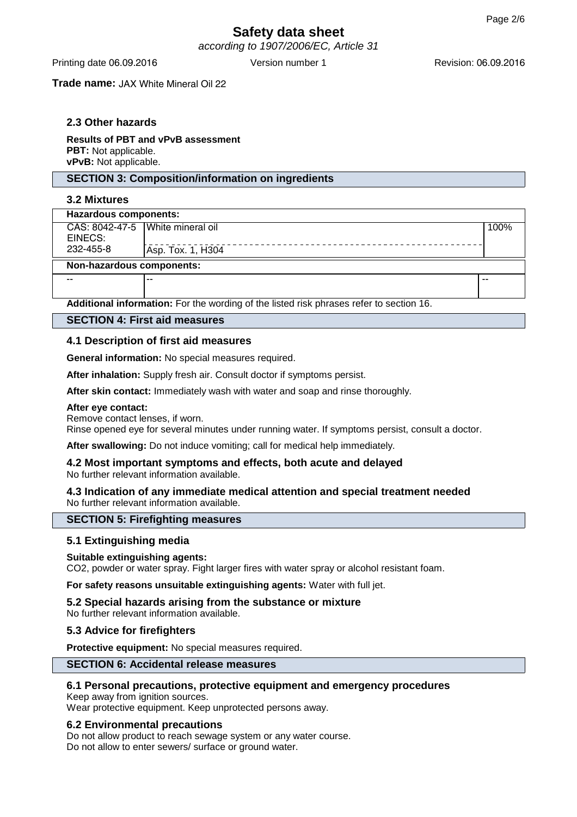according to 1907/2006/EC, Article 31

**Trade name:** JAX White Mineral Oil 22

## **2.3 Other hazards**

**Results of PBT and vPvB assessment PBT:** Not applicable. **vPvB:** Not applicable.

## **SECTION 3: Composition/information on ingredients**

## **3.2 Mixtures**

| Hazardous components:              |                   |      |  |
|------------------------------------|-------------------|------|--|
| CAS: 8042-47-5   White mineral oil |                   | 100% |  |
| EINECS:                            |                   |      |  |
| 232-455-8                          | Asp. Tox. 1, H304 |      |  |
| Non-hazardous components:          |                   |      |  |
| $- -$                              |                   | --   |  |
|                                    |                   |      |  |

**Additional information:** For the wording of the listed risk phrases refer to section 16.

## **SECTION 4: First aid measures**

## **4.1 Description of first aid measures**

**General information:** No special measures required.

**After inhalation:** Supply fresh air. Consult doctor if symptoms persist.

**After skin contact:** Immediately wash with water and soap and rinse thoroughly.

#### **After eye contact:**

Remove contact lenses, if worn.

Rinse opened eye for several minutes under running water. If symptoms persist, consult a doctor.

**After swallowing:** Do not induce vomiting; call for medical help immediately.

#### **4.2 Most important symptoms and effects, both acute and delayed** No further relevant information available.

#### **4.3 Indication of any immediate medical attention and special treatment needed** No further relevant information available.

## **SECTION 5: Firefighting measures**

## **5.1 Extinguishing media**

## **Suitable extinguishing agents:**

CO2, powder or water spray. Fight larger fires with water spray or alcohol resistant foam.

**For safety reasons unsuitable extinguishing agents:** Water with full jet.

**5.2 Special hazards arising from the substance or mixture** No further relevant information available.

## **5.3 Advice for firefighters**

**Protective equipment:** No special measures required.

## **SECTION 6: Accidental release measures**

## **6.1 Personal precautions, protective equipment and emergency procedures**

Keep away from ignition sources. Wear protective equipment. Keep unprotected persons away.

## **6.2 Environmental precautions**

Do not allow product to reach sewage system or any water course. Do not allow to enter sewers/ surface or ground water.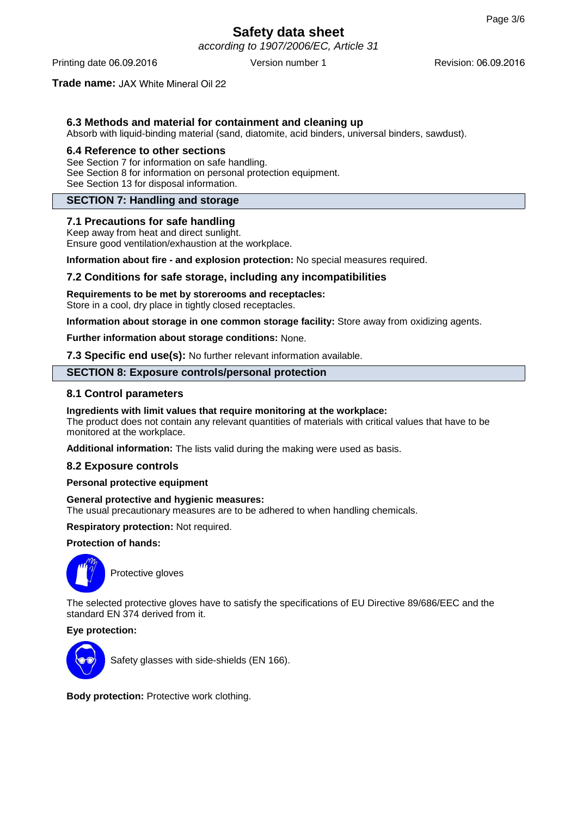according to 1907/2006/EC, Article 31

Printing date 06.09.2016 **Version number 1** Revision: 06.09.2016 **Revision: 06.09.2016** 

## **Trade name:** JAX White Mineral Oil 22

## **6.3 Methods and material for containment and cleaning up**

Absorb with liquid-binding material (sand, diatomite, acid binders, universal binders, sawdust).

#### **6.4 Reference to other sections**

See Section 7 for information on safe handling. See Section 8 for information on personal protection equipment. See Section 13 for disposal information.

## **SECTION 7: Handling and storage**

## **7.1 Precautions for safe handling**

Keep away from heat and direct sunlight. Ensure good ventilation/exhaustion at the workplace.

**Information about fire - and explosion protection:** No special measures required.

## **7.2 Conditions for safe storage, including any incompatibilities**

## **Requirements to be met by storerooms and receptacles:**

Store in a cool, dry place in tightly closed receptacles.

**Information about storage in one common storage facility:** Store away from oxidizing agents.

**Further information about storage conditions:** None.

**7.3 Specific end use(s):** No further relevant information available.

## **SECTION 8: Exposure controls/personal protection**

## **8.1 Control parameters**

## **Ingredients with limit values that require monitoring at the workplace:**

The product does not contain any relevant quantities of materials with critical values that have to be monitored at the workplace.

**Additional information:** The lists valid during the making were used as basis.

## **8.2 Exposure controls**

## **Personal protective equipment**

## **General protective and hygienic measures:**

The usual precautionary measures are to be adhered to when handling chemicals.

**Respiratory protection:** Not required.

## **Protection of hands:**



Protective gloves

The selected protective gloves have to satisfy the specifications of EU Directive 89/686/EEC and the standard EN 374 derived from it.

## **Eye protection:**



Safety glasses with side-shields (EN 166).

**Body protection:** Protective work clothing.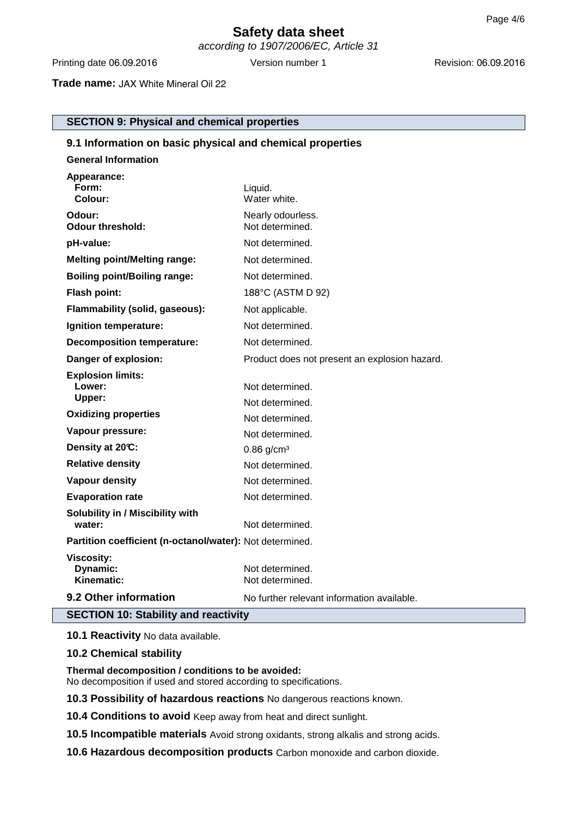according to 1907/2006/EC, Article 31

Printing date 06.09.2016 Version number 1 Revision: 06.09.2016 Version number 1

**Trade name:** JAX White Mineral Oil 22

**SECTION 9: Physical and chemical properties**

| 9.1 Information on basic physical and chemical properties |                                               |  |  |  |
|-----------------------------------------------------------|-----------------------------------------------|--|--|--|
| <b>General Information</b>                                |                                               |  |  |  |
| Appearance:<br>Form:<br>Colour:                           | Liquid.<br>Water white.                       |  |  |  |
| Odour:<br><b>Odour threshold:</b>                         | Nearly odourless.<br>Not determined.          |  |  |  |
| pH-value:                                                 | Not determined.                               |  |  |  |
| <b>Melting point/Melting range:</b>                       | Not determined.                               |  |  |  |
| <b>Boiling point/Boiling range:</b>                       | Not determined.                               |  |  |  |
| <b>Flash point:</b>                                       | 188°C (ASTM D 92)                             |  |  |  |
| Flammability (solid, gaseous):                            | Not applicable.                               |  |  |  |
| Ignition temperature:                                     | Not determined.                               |  |  |  |
| <b>Decomposition temperature:</b>                         | Not determined.                               |  |  |  |
| Danger of explosion:                                      | Product does not present an explosion hazard. |  |  |  |
| <b>Explosion limits:</b><br>Lower:<br>Upper:              | Not determined.<br>Not determined.            |  |  |  |
| <b>Oxidizing properties</b>                               | Not determined.                               |  |  |  |
| Vapour pressure:                                          | Not determined.                               |  |  |  |
| Density at 20°C:                                          | $0.86$ g/cm <sup>3</sup>                      |  |  |  |
| <b>Relative density</b>                                   | Not determined.                               |  |  |  |
| <b>Vapour density</b>                                     | Not determined.                               |  |  |  |
| <b>Evaporation rate</b>                                   | Not determined.                               |  |  |  |
| Solubility in / Miscibility with<br>water:                | Not determined.                               |  |  |  |
| Partition coefficient (n-octanol/water): Not determined.  |                                               |  |  |  |
| <b>Viscosity:</b><br>Dynamic:<br>Kinematic:               | Not determined.<br>Not determined.            |  |  |  |
| 9.2 Other information                                     | No further relevant information available.    |  |  |  |
| <b>SECTION 10: Stability and reactivity</b>               |                                               |  |  |  |

**10.1 Reactivity** No data available.

## **10.2 Chemical stability**

**Thermal decomposition / conditions to be avoided:** No decomposition if used and stored according to specifications.

**10.3 Possibility of hazardous reactions** No dangerous reactions known.

**10.4 Conditions to avoid** Keep away from heat and direct sunlight.

**10.5 Incompatible materials** Avoid strong oxidants, strong alkalis and strong acids.

**10.6 Hazardous decomposition products** Carbon monoxide and carbon dioxide.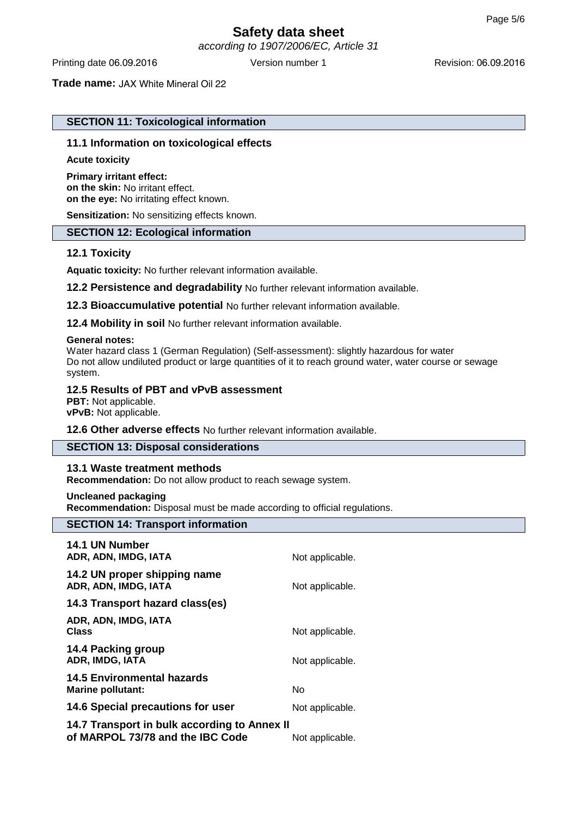according to 1907/2006/EC, Article 31

**Trade name:** JAX White Mineral Oil 22

## **SECTION 11: Toxicological information**

## **11.1 Information on toxicological effects**

#### **Acute toxicity**

**Primary irritant effect: on the skin:** No irritant effect. **on the eye:** No irritating effect known.

**Sensitization:** No sensitizing effects known.

## **SECTION 12: Ecological information**

## **12.1 Toxicity**

**Aquatic toxicity:** No further relevant information available.

**12.2 Persistence and degradability** No further relevant information available.

**12.3 Bioaccumulative potential** No further relevant information available.

**12.4 Mobility in soil** No further relevant information available.

#### **General notes:**

Water hazard class 1 (German Regulation) (Self-assessment): slightly hazardous for water Do not allow undiluted product or large quantities of it to reach ground water, water course or sewage system.

## **12.5 Results of PBT and vPvB assessment**

**PBT:** Not applicable. **vPvB:** Not applicable.

## **12.6 Other adverse effects** No further relevant information available.

## **SECTION 13: Disposal considerations**

## **13.1 Waste treatment methods**

**Recommendation:** Do not allow product to reach sewage system.

**Uncleaned packaging**

**Recommendation:** Disposal must be made according to official regulations.

## **SECTION 14: Transport information**

| 14.1 UN Number<br>ADR, ADN, IMDG, IATA                                           | Not applicable. |
|----------------------------------------------------------------------------------|-----------------|
| 14.2 UN proper shipping name<br>ADR, ADN, IMDG, IATA                             | Not applicable. |
| 14.3 Transport hazard class(es)                                                  |                 |
| ADR, ADN, IMDG, IATA<br>Class                                                    | Not applicable. |
| 14.4 Packing group<br>ADR, IMDG, IATA                                            | Not applicable. |
| <b>14.5 Environmental hazards</b><br><b>Marine pollutant:</b>                    | No              |
| 14.6 Special precautions for user                                                | Not applicable. |
| 14.7 Transport in bulk according to Annex II<br>of MARPOL 73/78 and the IBC Code | Not applicable. |